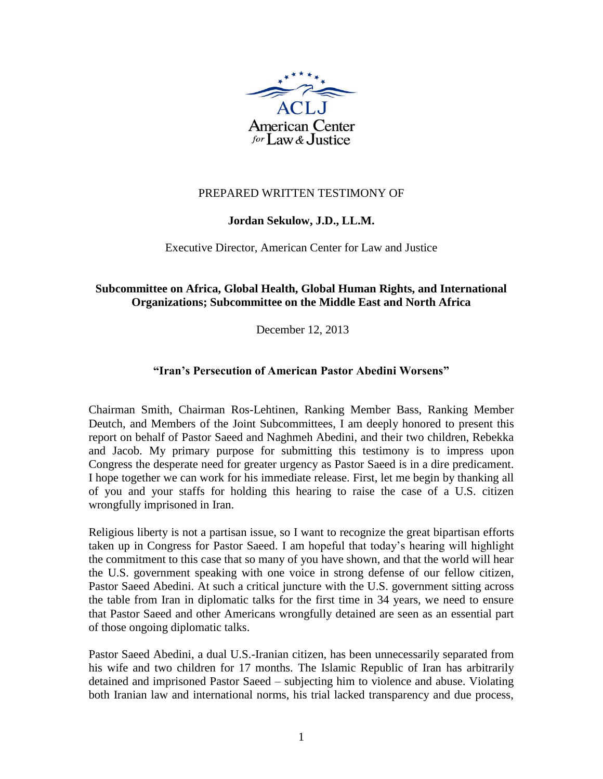

# PREPARED WRITTEN TESTIMONY OF

# **Jordan Sekulow, J.D., LL.M.**

### Executive Director, American Center for Law and Justice

# **[Subcommittee on Africa, Global Health, Global Human Rights, and International](http://foreignaffairs.house.gov/subcommittees/africa-global-health-global-human-rights-and-international-organizations)  [Organizations;](http://foreignaffairs.house.gov/subcommittees/africa-global-health-global-human-rights-and-international-organizations) [Subcommittee on the Middle East and North Africa](http://foreignaffairs.house.gov/subcommittees/the-middle-east-and-north-africa)**

December 12, 2013

## **"Iran's Persecution of American Pastor Abedini Worsens"**

Chairman Smith, Chairman Ros-Lehtinen, Ranking Member Bass, Ranking Member Deutch, and Members of the Joint Subcommittees, I am deeply honored to present this report on behalf of Pastor Saeed and Naghmeh Abedini, and their two children, Rebekka and Jacob. My primary purpose for submitting this testimony is to impress upon Congress the desperate need for greater urgency as Pastor Saeed is in a dire predicament. I hope together we can work for his immediate release. First, let me begin by thanking all of you and your staffs for holding this hearing to raise the case of a U.S. citizen wrongfully imprisoned in Iran.

Religious liberty is not a partisan issue, so I want to recognize the great bipartisan efforts taken up in Congress for Pastor Saeed. I am hopeful that today's hearing will highlight the commitment to this case that so many of you have shown, and that the world will hear the U.S. government speaking with one voice in strong defense of our fellow citizen, Pastor Saeed Abedini. At such a critical juncture with the U.S. government sitting across the table from Iran in diplomatic talks for the first time in 34 years, we need to ensure that Pastor Saeed and other Americans wrongfully detained are seen as an essential part of those ongoing diplomatic talks.

Pastor Saeed Abedini, a dual U.S.-Iranian citizen, has been unnecessarily separated from his wife and two children for 17 months. The Islamic Republic of Iran has arbitrarily detained and imprisoned Pastor Saeed – subjecting him to violence and abuse. Violating both Iranian law and international norms, his trial lacked transparency and due process,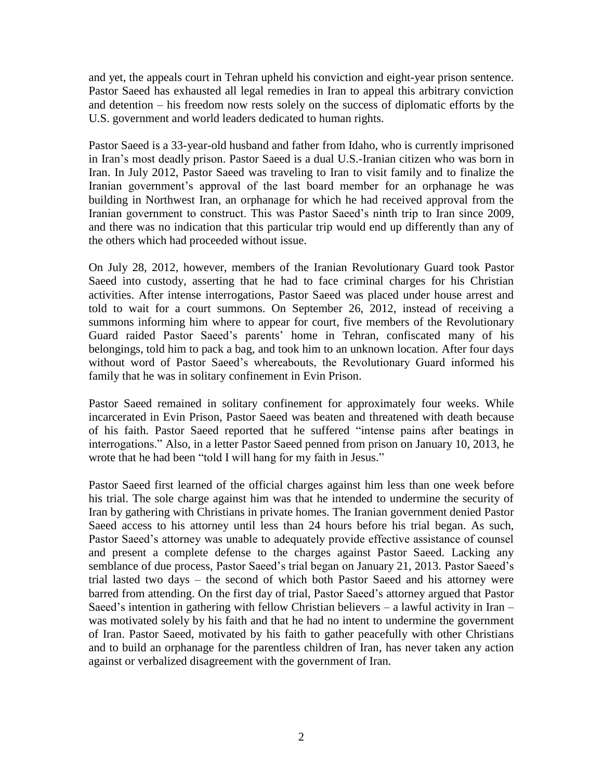and yet, the appeals court in Tehran upheld his conviction and eight-year prison sentence. Pastor Saeed has exhausted all legal remedies in Iran to appeal this arbitrary conviction and detention – his freedom now rests solely on the success of diplomatic efforts by the U.S. government and world leaders dedicated to human rights.

Pastor Saeed is a 33-year-old husband and father from Idaho, who is currently imprisoned in Iran's most deadly prison. Pastor Saeed is a dual U.S.-Iranian citizen who was born in Iran. In July 2012, Pastor Saeed was traveling to Iran to visit family and to finalize the Iranian government's approval of the last board member for an orphanage he was building in Northwest Iran, an orphanage for which he had received approval from the Iranian government to construct. This was Pastor Saeed's ninth trip to Iran since 2009, and there was no indication that this particular trip would end up differently than any of the others which had proceeded without issue.

On July 28, 2012, however, members of the Iranian Revolutionary Guard took Pastor Saeed into custody, asserting that he had to face criminal charges for his Christian activities. After intense interrogations, Pastor Saeed was placed under house arrest and told to wait for a court summons. On September 26, 2012, instead of receiving a summons informing him where to appear for court, five members of the Revolutionary Guard raided Pastor Saeed's parents' home in Tehran, confiscated many of his belongings, told him to pack a bag, and took him to an unknown location. After four days without word of Pastor Saeed's whereabouts, the Revolutionary Guard informed his family that he was in solitary confinement in Evin Prison.

Pastor Saeed remained in solitary confinement for approximately four weeks. While incarcerated in Evin Prison, Pastor Saeed was beaten and threatened with death because of his faith. Pastor Saeed reported that he suffered "intense pains after beatings in interrogations." Also, in a letter Pastor Saeed penned from prison on January 10, 2013, he wrote that he had been "told I will hang for my faith in Jesus."

Pastor Saeed first learned of the official charges against him less than one week before his trial. The sole charge against him was that he intended to undermine the security of Iran by gathering with Christians in private homes. The Iranian government denied Pastor Saeed access to his attorney until less than 24 hours before his trial began. As such, Pastor Saeed's attorney was unable to adequately provide effective assistance of counsel and present a complete defense to the charges against Pastor Saeed. Lacking any semblance of due process, Pastor Saeed's trial began on January 21, 2013. Pastor Saeed's trial lasted two days – the second of which both Pastor Saeed and his attorney were barred from attending. On the first day of trial, Pastor Saeed's attorney argued that Pastor Saeed's intention in gathering with fellow Christian believers – a lawful activity in Iran – was motivated solely by his faith and that he had no intent to undermine the government of Iran. Pastor Saeed, motivated by his faith to gather peacefully with other Christians and to build an orphanage for the parentless children of Iran, has never taken any action against or verbalized disagreement with the government of Iran.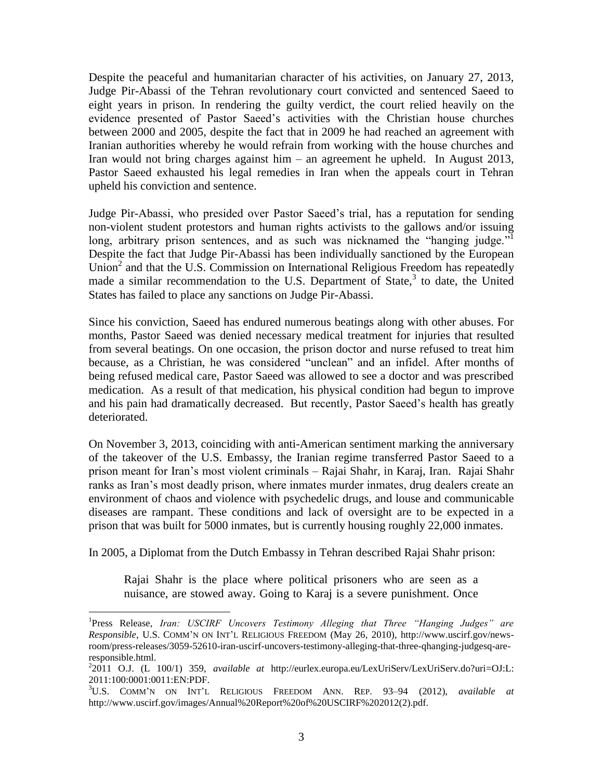Despite the peaceful and humanitarian character of his activities, on January 27, 2013, Judge Pir-Abassi of the Tehran revolutionary court convicted and sentenced Saeed to eight years in prison. In rendering the guilty verdict, the court relied heavily on the evidence presented of Pastor Saeed's activities with the Christian house churches between 2000 and 2005, despite the fact that in 2009 he had reached an agreement with Iranian authorities whereby he would refrain from working with the house churches and Iran would not bring charges against him – an agreement he upheld. In August 2013, Pastor Saeed exhausted his legal remedies in Iran when the appeals court in Tehran upheld his conviction and sentence.

Judge Pir-Abassi, who presided over Pastor Saeed's trial, has a reputation for sending non-violent student protestors and human rights activists to the gallows and/or issuing long, arbitrary prison sentences, and as such was nicknamed the "hanging judge."<sup>1</sup> Despite the fact that Judge Pir-Abassi has been individually sanctioned by the European Union<sup>2</sup> and that the U.S. Commission on International Religious Freedom has repeatedly made a similar recommendation to the U.S. Department of State,<sup>3</sup> to date, the United States has failed to place any sanctions on Judge Pir-Abassi.

Since his conviction, Saeed has endured numerous beatings along with other abuses. For months, Pastor Saeed was denied necessary medical treatment for injuries that resulted from several beatings. On one occasion, the prison doctor and nurse refused to treat him because, as a Christian, he was considered "unclean" and an infidel. After months of being refused medical care, Pastor Saeed was allowed to see a doctor and was prescribed medication. As a result of that medication, his physical condition had begun to improve and his pain had dramatically decreased. But recently, Pastor Saeed's health has greatly deteriorated.

On November 3, 2013, coinciding with anti-American sentiment marking the anniversary of the takeover of the U.S. Embassy, the Iranian regime transferred Pastor Saeed to a prison meant for Iran's most violent criminals – Rajai Shahr, in Karaj, Iran. Rajai Shahr ranks as Iran's most deadly prison, where inmates murder inmates, drug dealers create an environment of chaos and violence with psychedelic drugs, and louse and communicable diseases are rampant. These conditions and lack of oversight are to be expected in a prison that was built for 5000 inmates, but is currently housing roughly 22,000 inmates.

In 2005, a Diplomat from the Dutch Embassy in Tehran described Rajai Shahr prison:

 $\overline{a}$ 

Rajai Shahr is the place where political prisoners who are seen as a nuisance, are stowed away. Going to Karaj is a severe punishment. Once

<sup>&</sup>lt;sup>1</sup>Press Release, *Iran: USCIRF Uncovers Testimony Alleging that Three "Hanging Judges" are Responsible*, U.S. COMM'N ON INT'L RELIGIOUS FREEDOM (May 26, 2010), http://www.uscirf.gov/newsroom/press-releases/3059-52610-iran-uscirf-uncovers-testimony-alleging-that-three-qhanging-judgesq-areresponsible.html.

<sup>2</sup> 2011 O.J. (L 100/1) 359, *available at* http://eurlex.europa.eu/LexUriServ/LexUriServ.do?uri=OJ:L: 2011:100:0001:0011:EN:PDF.

<sup>3</sup>U.S. COMM'N ON INT'L RELIGIOUS FREEDOM ANN. REP. 93–94 (2012), *available at* http://www.uscirf.gov/images/Annual%20Report%20of%20USCIRF%202012(2).pdf.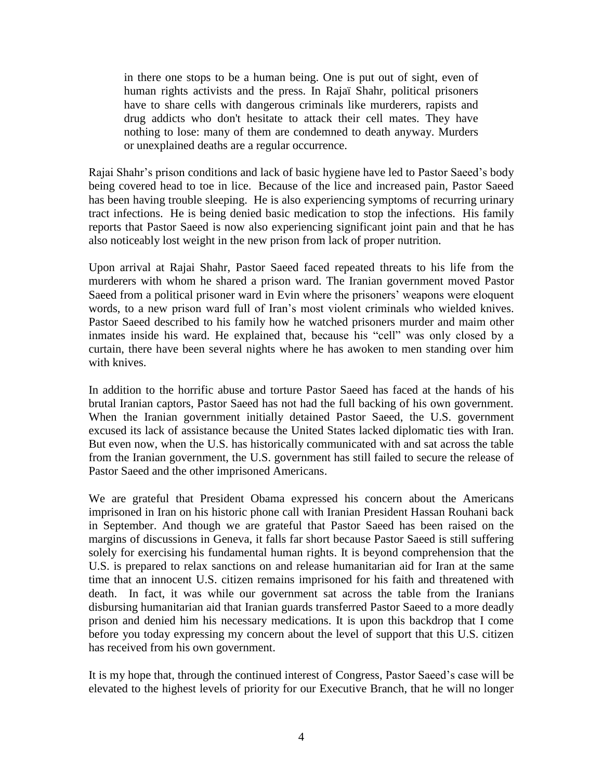in there one stops to be a human being. One is put out of sight, even of human rights activists and the press. In Rajaï Shahr, political prisoners have to share cells with dangerous criminals like murderers, rapists and drug addicts who don't hesitate to attack their cell mates. They have nothing to lose: many of them are condemned to death anyway. Murders or unexplained deaths are a regular occurrence.

Rajai Shahr's prison conditions and lack of basic hygiene have led to Pastor Saeed's body being covered head to toe in lice. Because of the lice and increased pain, Pastor Saeed has been having trouble sleeping. He is also experiencing symptoms of recurring urinary tract infections. He is being denied basic medication to stop the infections. His family reports that Pastor Saeed is now also experiencing significant joint pain and that he has also noticeably lost weight in the new prison from lack of proper nutrition.

Upon arrival at Rajai Shahr, Pastor Saeed faced repeated threats to his life from the murderers with whom he shared a prison ward. The Iranian government moved Pastor Saeed from a political prisoner ward in Evin where the prisoners' weapons were eloquent words, to a new prison ward full of Iran's most violent criminals who wielded knives. Pastor Saeed described to his family how he watched prisoners murder and maim other inmates inside his ward. He explained that, because his "cell" was only closed by a curtain, there have been several nights where he has awoken to men standing over him with knives.

In addition to the horrific abuse and torture Pastor Saeed has faced at the hands of his brutal Iranian captors, Pastor Saeed has not had the full backing of his own government. When the Iranian government initially detained Pastor Saeed, the U.S. government excused its lack of assistance because the United States lacked diplomatic ties with Iran. But even now, when the U.S. has historically communicated with and sat across the table from the Iranian government, the U.S. government has still failed to secure the release of Pastor Saeed and the other imprisoned Americans.

We are grateful that President Obama expressed his concern about the Americans imprisoned in Iran on his historic phone call with Iranian President Hassan Rouhani back in September. And though we are grateful that Pastor Saeed has been raised on the margins of discussions in Geneva, it falls far short because Pastor Saeed is still suffering solely for exercising his fundamental human rights. It is beyond comprehension that the U.S. is prepared to relax sanctions on and release humanitarian aid for Iran at the same time that an innocent U.S. citizen remains imprisoned for his faith and threatened with death. In fact, it was while our government sat across the table from the Iranians disbursing humanitarian aid that Iranian guards transferred Pastor Saeed to a more deadly prison and denied him his necessary medications. It is upon this backdrop that I come before you today expressing my concern about the level of support that this U.S. citizen has received from his own government.

It is my hope that, through the continued interest of Congress, Pastor Saeed's case will be elevated to the highest levels of priority for our Executive Branch, that he will no longer